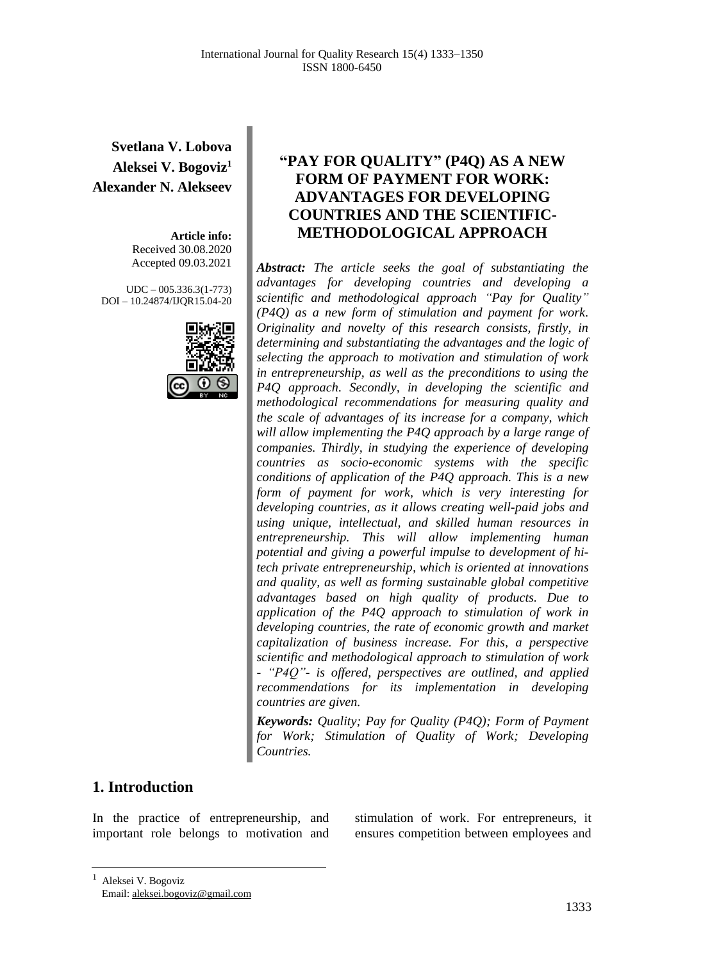**Svetlana V. Lobova Aleksei V. Bogoviz<sup>1</sup> Alexander N. Alekseev**

> **Article info:** Received 30.08.2020 Accepted 09.03.2021

UDC – 005.336.3(1-773) DOI – 10.24874/IJQR15.04-20



## **"PAY FOR QUALITY" (P4Q) AS A NEW FORM OF PAYMENT FOR WORK: ADVANTAGES FOR DEVELOPING COUNTRIES AND THE SCIENTIFIC-METHODOLOGICAL APPROACH**

*Abstract: The article seeks the goal of substantiating the advantages for developing countries and developing a scientific and methodological approach "Pay for Quality" (P4Q) as a new form of stimulation and payment for work. Originality and novelty of this research consists, firstly, in determining and substantiating the advantages and the logic of selecting the approach to motivation and stimulation of work in entrepreneurship, as well as the preconditions to using the P4Q approach. Secondly, in developing the scientific and methodological recommendations for measuring quality and the scale of advantages of its increase for a company, which will allow implementing the P4Q approach by a large range of companies. Thirdly, in studying the experience of developing countries as socio-economic systems with the specific conditions of application of the P4Q approach. This is a new form of payment for work, which is very interesting for developing countries, as it allows creating well-paid jobs and using unique, intellectual, and skilled human resources in entrepreneurship. This will allow implementing human potential and giving a powerful impulse to development of hitech private entrepreneurship, which is oriented at innovations and quality, as well as forming sustainable global competitive advantages based on high quality of products. Due to application of the P4Q approach to stimulation of work in developing countries, the rate of economic growth and market capitalization of business increase. For this, a perspective scientific and methodological approach to stimulation of work - "P4Q"- is offered, perspectives are outlined, and applied recommendations for its implementation in developing countries are given.*

*Keywords: Quality; Pay for Quality (P4Q); Form of Payment for Work; Stimulation of Quality of Work; Developing Countries.*

### **1. Introduction**

In the practice of entrepreneurship, and important role belongs to motivation and

stimulation of work. For entrepreneurs, it ensures competition between employees and

<sup>&</sup>lt;sup>1</sup> Aleksei V. Bogoviz Email: aleksei.bogoviz@gmail.com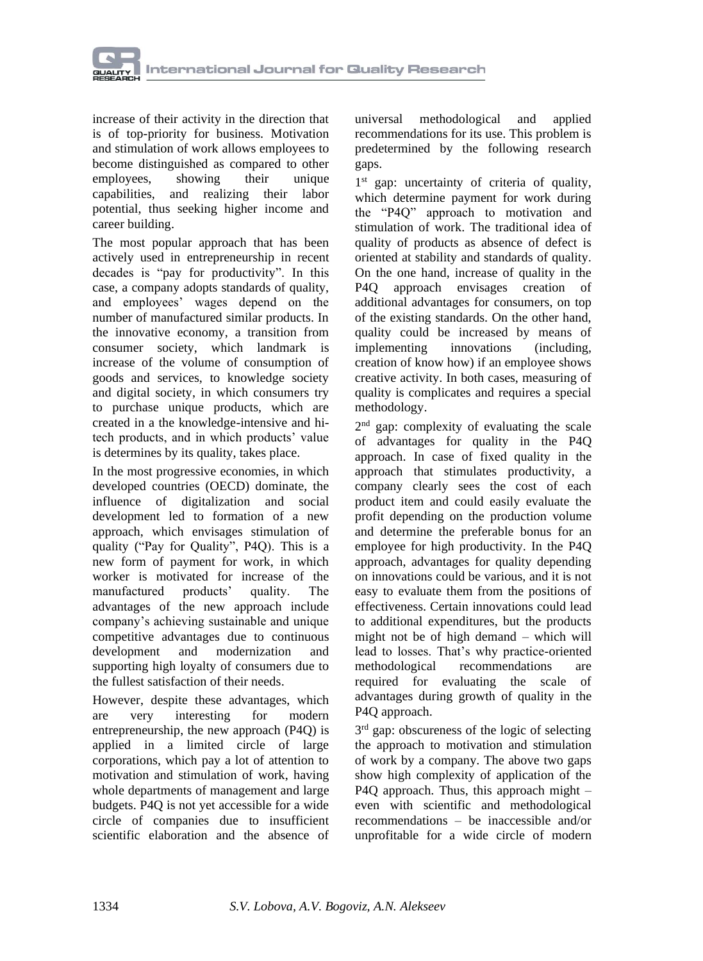

increase of their activity in the direction that is of top-priority for business. Motivation and stimulation of work allows employees to become distinguished as compared to other<br>employees. showing their unique employees, showing their unique capabilities, and realizing their labor potential, thus seeking higher income and career building.

The most popular approach that has been actively used in entrepreneurship in recent decades is "pay for productivity". In this case, a company adopts standards of quality, and employees' wages depend on the number of manufactured similar products. In the innovative economy, a transition from consumer society, which landmark is increase of the volume of consumption of goods and services, to knowledge society and digital society, in which consumers try to purchase unique products, which are created in a the knowledge-intensive and hitech products, and in which products' value is determines by its quality, takes place.

In the most progressive economies, in which developed countries (OECD) dominate, the influence of digitalization and social development led to formation of a new approach, which envisages stimulation of quality ("Pay for Quality", P4Q). This is a new form of payment for work, in which worker is motivated for increase of the manufactured products' quality. The advantages of the new approach include company's achieving sustainable and unique competitive advantages due to continuous development and modernization and supporting high loyalty of consumers due to the fullest satisfaction of their needs.

However, despite these advantages, which are very interesting for modern entrepreneurship, the new approach (P4Q) is applied in a limited circle of large corporations, which pay a lot of attention to motivation and stimulation of work, having whole departments of management and large budgets. P4Q is not yet accessible for a wide circle of companies due to insufficient scientific elaboration and the absence of

universal methodological and applied recommendations for its use. This problem is predetermined by the following research gaps.

1<sup>st</sup> gap: uncertainty of criteria of quality, which determine payment for work during the "P4Q" approach to motivation and stimulation of work. The traditional idea of quality of products as absence of defect is oriented at stability and standards of quality. On the one hand, increase of quality in the P4Q approach envisages creation of additional advantages for consumers, on top of the existing standards. On the other hand, quality could be increased by means of implementing innovations (including, creation of know how) if an employee shows creative activity. In both cases, measuring of quality is complicates and requires a special methodology.

2<sup>nd</sup> gap: complexity of evaluating the scale of advantages for quality in the P4Q approach. In case of fixed quality in the approach that stimulates productivity, a company clearly sees the cost of each product item and could easily evaluate the profit depending on the production volume and determine the preferable bonus for an employee for high productivity. In the P4Q approach, advantages for quality depending on innovations could be various, and it is not easy to evaluate them from the positions of effectiveness. Certain innovations could lead to additional expenditures, but the products might not be of high demand – which will lead to losses. That's why practice-oriented methodological recommendations are required for evaluating the scale of advantages during growth of quality in the P4Q approach.

3<sup>rd</sup> gap: obscureness of the logic of selecting the approach to motivation and stimulation of work by a company. The above two gaps show high complexity of application of the P4Q approach. Thus, this approach might – even with scientific and methodological recommendations – be inaccessible and/or unprofitable for a wide circle of modern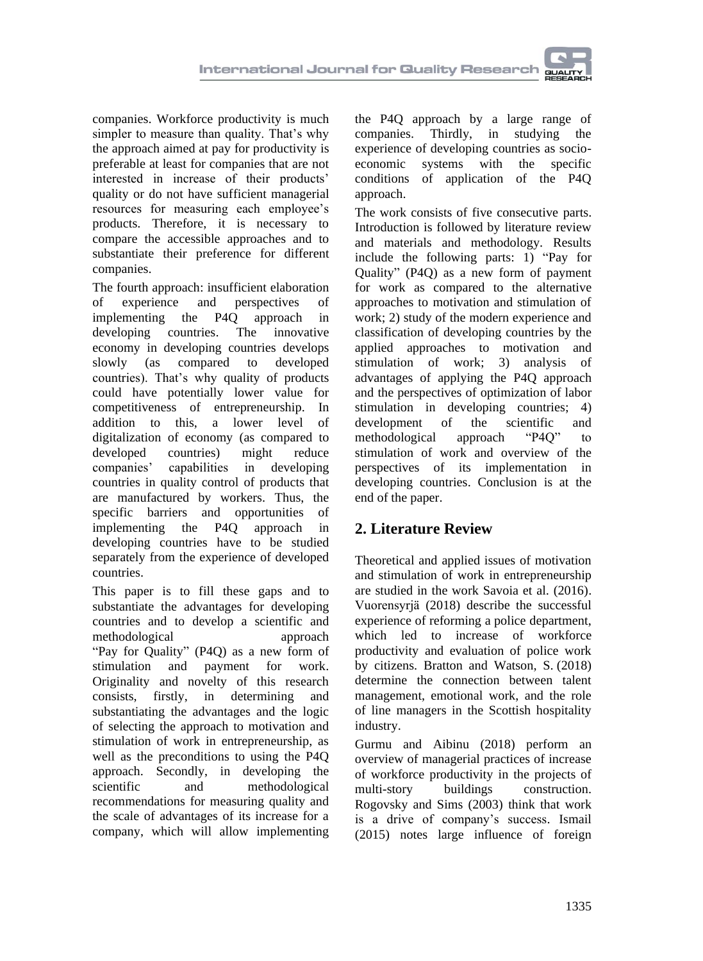

The fourth approach: insufficient elaboration of experience and perspectives of implementing the P4Q approach in developing countries. The innovative economy in developing countries develops slowly (as compared to developed countries). That's why quality of products could have potentially lower value for competitiveness of entrepreneurship. In addition to this, a lower level of digitalization of economy (as compared to developed countries) might reduce companies' capabilities in developing countries in quality control of products that are manufactured by workers. Thus, the specific barriers and opportunities of implementing the P4Q approach in developing countries have to be studied separately from the experience of developed countries.

This paper is to fill these gaps and to substantiate the advantages for developing countries and to develop a scientific and methodological approach "Pay for Quality" (P4Q) as a new form of stimulation and payment for work. Originality and novelty of this research consists, firstly, in determining and substantiating the advantages and the logic of selecting the approach to motivation and stimulation of work in entrepreneurship, as well as the preconditions to using the P4Q approach. Secondly, in developing the scientific and methodological recommendations for measuring quality and the scale of advantages of its increase for a company, which will allow implementing

the P4Q approach by a large range of companies. Thirdly, in studying the experience of developing countries as socioeconomic systems with the specific conditions of application of the P4Q approach.

The work consists of five consecutive parts. Introduction is followed by literature review and materials and methodology. Results include the following parts: 1) "Pay for Quality" (P4Q) as a new form of payment for work as compared to the alternative approaches to motivation and stimulation of work; 2) study of the modern experience and classification of developing countries by the applied approaches to motivation and stimulation of work; 3) analysis of advantages of applying the P4Q approach and the perspectives of optimization of labor stimulation in developing countries; 4) development of the scientific and methodological approach "P4Q" to stimulation of work and overview of the perspectives of its implementation in developing countries. Conclusion is at the end of the paper.

# **2. Literature Review**

Theoretical and applied issues of motivation and stimulation of work in entrepreneurship are studied in the work Savoia et al. (2016). [Vuorensyrjä](https://www.emerald.com/insight/search?q=Matti%20Vuorensyrj%C3%A4) (2018) describe the successful experience of reforming a police department, which led to increase of workforce productivity and evaluation of police work by citizens. [Bratton](https://www.emerald.com/insight/search?q=John%20Bratton) and [Watson, S.](https://www.emerald.com/insight/search?q=Sandra%20Watson) (2018) determine the connection between talent management, emotional work, and the role of line managers in the Scottish hospitality industry.

[Gurmu](https://www.emerald.com/insight/search?q=Argaw%20Tarekegn%20Gurmu) and [Aibinu](https://www.emerald.com/insight/search?q=Ajibade%20Ayodeji%20Aibinu) (2018) perform an overview of managerial practices of increase of workforce productivity in the projects of multi-story buildings construction. Rogovsky and Sims (2003) think that work is a drive of company's success. Ismail (2015) notes large influence of foreign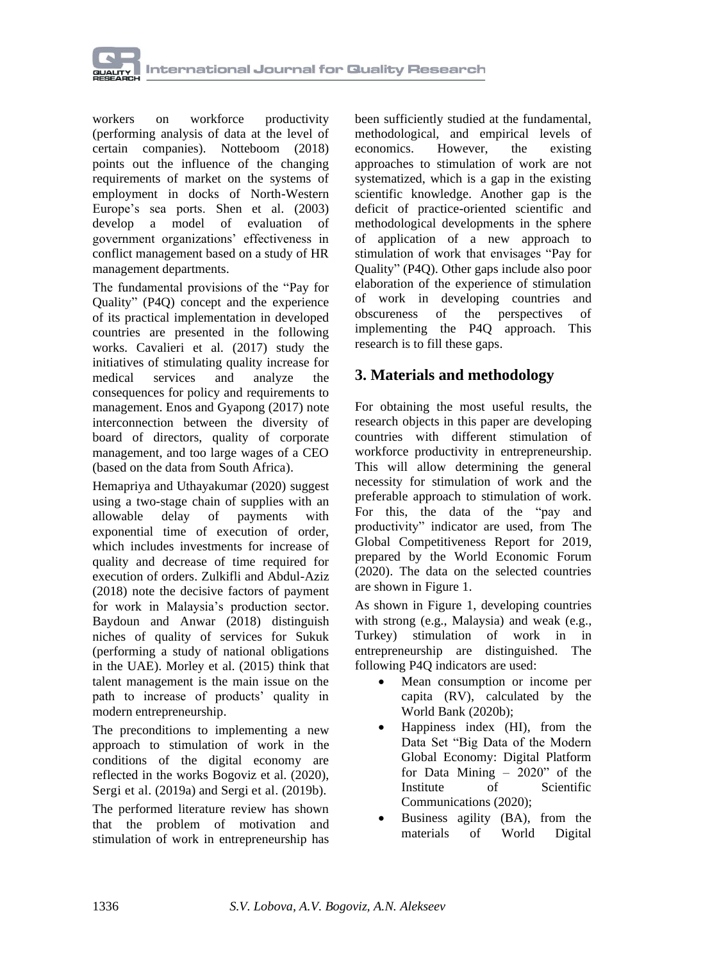

workers on workforce productivity (performing analysis of data at the level of certain companies). Notteboom (2018) points out the influence of the changing requirements of market on the systems of employment in docks of North-Western Europe's sea ports. Shen et al. (2003) develop a model of evaluation of government organizations' effectiveness in conflict management based on a study of HR management departments.

The fundamental provisions of the "Pay for Quality" (P4Q) concept and the experience of its practical implementation in developed countries are presented in the following works. Cavalieri et al. (2017) study the initiatives of stimulating quality increase for medical services and analyze the consequences for policy and requirements to management. Enos and Gyapong (2017) note interconnection between the diversity of board of directors, quality of corporate management, and too large wages of a CEO (based on the data from South Africa).

Hemapriya and Uthayakumar (2020) suggest using a two-stage chain of supplies with an allowable delay of payments with exponential time of execution of order, which includes investments for increase of quality and decrease of time required for execution of orders. Zulkifli and Abdul-Aziz (2018) note the decisive factors of payment for work in Malaysia's production sector. Baydoun and Anwar (2018) distinguish niches of quality of services for Sukuk (performing a study of national obligations in the UAE). Morley et al. (2015) think that talent management is the main issue on the path to increase of products' quality in modern entrepreneurship.

The preconditions to implementing a new approach to stimulation of work in the conditions of the digital economy are reflected in the works Bogoviz et al. (2020), Sergi et al. (2019a) and Sergi et al. (2019b).

The performed literature review has shown that the problem of motivation and stimulation of work in entrepreneurship has

been sufficiently studied at the fundamental, methodological, and empirical levels of economics. However, the existing approaches to stimulation of work are not systematized, which is a gap in the existing scientific knowledge. Another gap is the deficit of practice-oriented scientific and methodological developments in the sphere of application of a new approach to stimulation of work that envisages "Pay for Quality" (P4Q). Other gaps include also poor elaboration of the experience of stimulation of work in developing countries and obscureness of the perspectives of implementing the P4Q approach. This research is to fill these gaps.

## **3. Materials and methodology**

For obtaining the most useful results, the research objects in this paper are developing countries with different stimulation of workforce productivity in entrepreneurship. This will allow determining the general necessity for stimulation of work and the preferable approach to stimulation of work. For this, the data of the "pay and productivity" indicator are used, from The Global Competitiveness Report for 2019, prepared by the World Economic Forum (2020). The data on the selected countries are shown in Figure 1.

As shown in Figure 1, developing countries with strong (e.g., Malaysia) and weak (e.g., Turkey) stimulation of work in in entrepreneurship are distinguished. The following P4Q indicators are used:

- Mean consumption or income per capita (RV), calculated by the World Bank (2020b);
- Happiness index (HI), from the Data Set "Big Data of the Modern Global Economy: Digital Platform for Data Mining – 2020" of the Institute of Scientific Communications (2020);
- Business agility (BA), from the materials of World Digital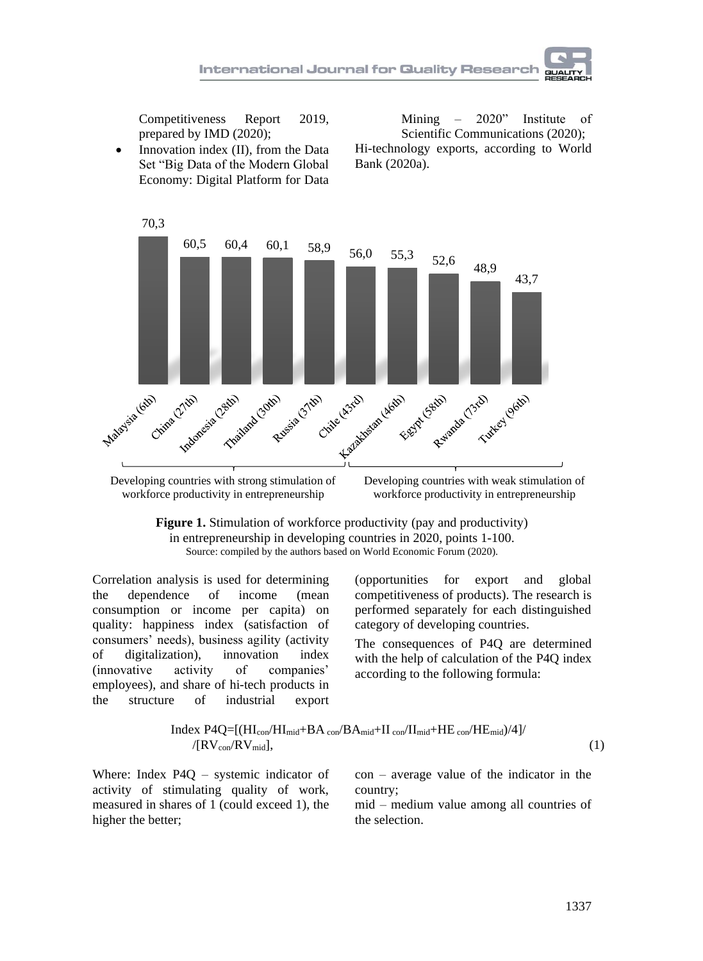

Competitiveness Report 2019, prepared by IMD (2020);

• Innovation index (II), from the Data Set "Big Data of the Modern Global Economy: Digital Platform for Data

Mining – 2020" Institute of Scientific Communications (2020); Hi-technology exports, according to World Bank (2020a).



Developing countries with strong stimulation of workforce productivity in entrepreneurship

Developing countries with weak stimulation of workforce productivity in entrepreneurship

**Figure 1.** Stimulation of workforce productivity (pay and productivity) in entrepreneurship in developing countries in 2020, points 1-100. Source: compiled by the authors based on World Economic Forum (2020).

Correlation analysis is used for determining the dependence of income (mean consumption or income per capita) on quality: happiness index (satisfaction of consumers' needs), business agility (activity of digitalization), innovation index (innovative activity of companies' employees), and share of hi-tech products in the structure of industrial export

(opportunities for export and global competitiveness of products). The research is performed separately for each distinguished category of developing countries.

The consequences of P4Q are determined with the help of calculation of the P4Q index according to the following formula:

$$
\text{Index P4Q=[(HI_{con}/HI_{mid}+BA_{con}/BA_{mid}+II_{con}/II_{mid}+HE_{con}/HE_{mid})/4]/([RV_{con}/RV_{mid}],
$$
\n
$$
\tag{1}
$$

Where: Index P4Q – systemic indicator of activity of stimulating quality of work, measured in shares of 1 (could exceed 1), the higher the better;

con – average value of the indicator in the country;

mid – medium value among all countries of the selection.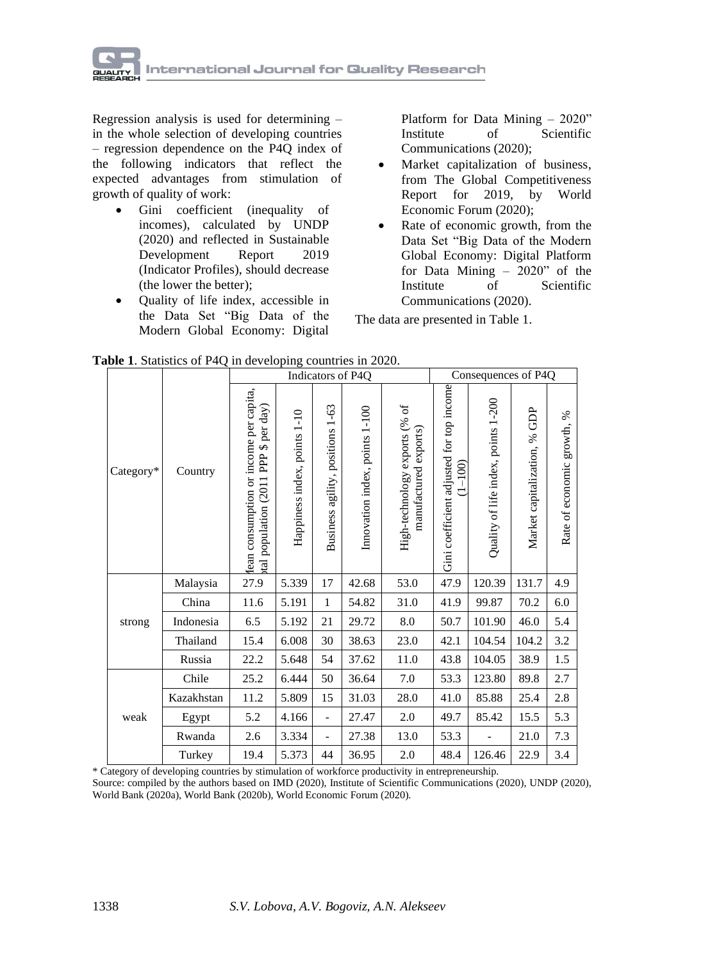

Regression analysis is used for determining – in the whole selection of developing countries – regression dependence on the P4Q index of the following indicators that reflect the expected advantages from stimulation of growth of quality of work:

- Gini coefficient (inequality of incomes), calculated by UNDP (2020) and reflected in Sustainable Development Report 2019 [\(Indicator Profiles\)](https://sdsna.github.io/2019GlobalIndex/2019GlobalIndexIndicatorProfiles.pdf), should decrease (the lower the better);
- Quality of life index, accessible in the Data Set "Big Data of the Modern Global Economy: Digital

Platform for Data Mining – 2020" Institute of Scientific Communications (2020);

- Market capitalization of business, from The Global Competitiveness Report for 2019, by World Economic Forum (2020);
- Rate of economic growth, from the Data Set "Big Data of the Modern Global Economy: Digital Platform for Data Mining – 2020" of the Institute of Scientific Communications (2020).

The data are presented in Table 1.

|  |  |  |  |  | Table 1. Statistics of P4Q in developing countries in 2020. |
|--|--|--|--|--|-------------------------------------------------------------|
|--|--|--|--|--|-------------------------------------------------------------|

|           |            | Indicators of P4Q                                                                                |                              |                                  |                                |                                                        | Consequences of P4Q                                     |                                     |                                 |                               |
|-----------|------------|--------------------------------------------------------------------------------------------------|------------------------------|----------------------------------|--------------------------------|--------------------------------------------------------|---------------------------------------------------------|-------------------------------------|---------------------------------|-------------------------------|
| Category* | Country    | lean consumption or income per capita,<br>\$ per day)<br>PP <sub>2</sub><br>tal population (2011 | Happiness index, points 1-10 | Business agility, positions 1-63 | Innovation index, points 1-100 | High-technology exports (% of<br>manufactured exports) | Gini coefficient adjusted for top income<br>$(1 - 100)$ | Quality of life index, points 1-200 | GDP<br>Market capitalization, % | %<br>Rate of economic growth, |
|           | Malaysia   | 27.9                                                                                             | 5.339                        | 17                               | 42.68                          | 53.0                                                   | 47.9                                                    | 120.39                              | 131.7                           | 4.9                           |
|           | China      | 11.6                                                                                             | 5.191                        | 1                                | 54.82                          | 31.0                                                   | 41.9                                                    | 99.87                               | 70.2                            | 6.0                           |
| strong    | Indonesia  | 6.5                                                                                              | 5.192                        | 21                               | 29.72                          | 8.0                                                    | 50.7                                                    | 101.90                              | 46.0                            | 5.4                           |
|           | Thailand   | 15.4                                                                                             | 6.008                        | 30                               | 38.63                          | 23.0                                                   | 42.1                                                    | 104.54                              | 104.2                           | 3.2                           |
|           | Russia     | 22.2                                                                                             | 5.648                        | 54                               | 37.62                          | 11.0                                                   | 43.8                                                    | 104.05                              | 38.9                            | 1.5                           |
| weak      | Chile      | 25.2                                                                                             | 6.444                        | 50                               | 36.64                          | 7.0                                                    | 53.3                                                    | 123.80                              | 89.8                            | 2.7                           |
|           | Kazakhstan | 11.2                                                                                             | 5.809                        | 15                               | 31.03                          | 28.0                                                   | 41.0                                                    | 85.88                               | 25.4                            | 2.8                           |
|           | Egypt      | 5.2                                                                                              | 4.166                        | $\overline{\phantom{a}}$         | 27.47                          | 2.0                                                    | 49.7                                                    | 85.42                               | 15.5                            | 5.3                           |
|           | Rwanda     | 2.6                                                                                              | 3.334                        | $\overline{\phantom{0}}$         | 27.38                          | 13.0                                                   | 53.3                                                    |                                     | 21.0                            | 7.3                           |
|           | Turkey     | 19.4                                                                                             | 5.373                        | 44                               | 36.95                          | $2.0\,$                                                | 48.4                                                    | 126.46                              | 22.9                            | $3.4\,$                       |

\* Category of developing countries by stimulation of workforce productivity in entrepreneurship.

Source: compiled by the authors based on IMD (2020), Institute of Scientific Communications (2020), UNDP (2020), World Bank (2020a), World Bank (2020b), World Economic Forum (2020).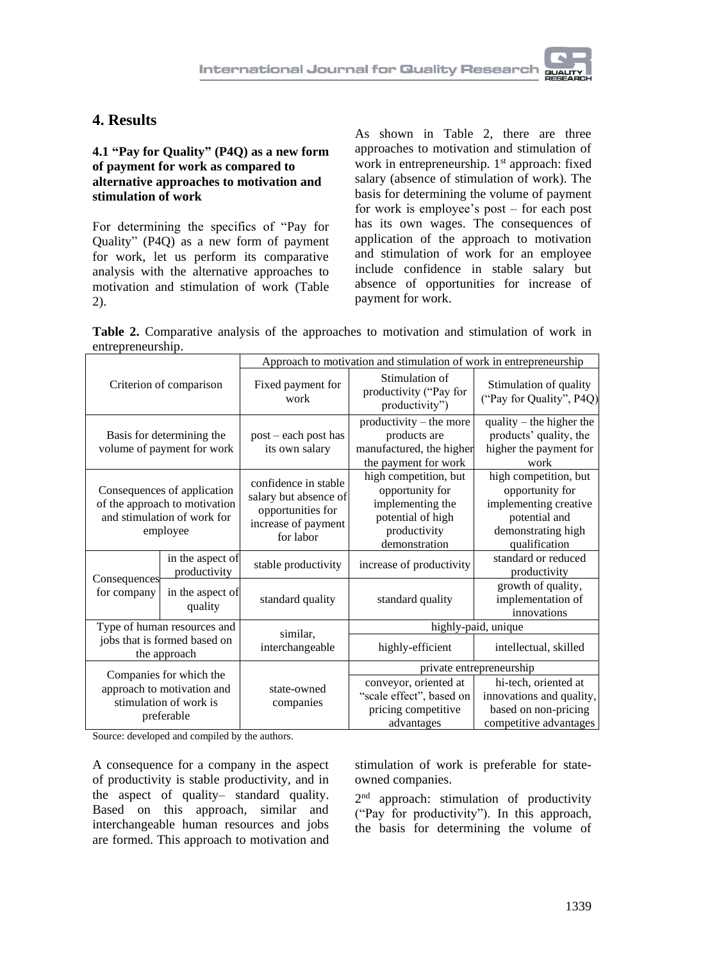### **4. Results**

#### **4.1 "Pay for Quality" (P4Q) as a new form of payment for work as compared to alternative approaches to motivation and stimulation of work**

For determining the specifics of "Pay for Quality" (P4Q) as a new form of payment for work, let us perform its comparative analysis with the alternative approaches to motivation and stimulation of work (Table 2).

As shown in Table 2, there are three approaches to motivation and stimulation of work in entrepreneurship. 1<sup>st</sup> approach: fixed salary (absence of stimulation of work). The basis for determining the volume of payment for work is employee's post – for each post has its own wages. The consequences of application of the approach to motivation and stimulation of work for an employee include confidence in stable salary but absence of opportunities for increase of payment for work.

**Table 2.** Comparative analysis of the approaches to motivation and stimulation of work in entrepreneurship.

| Criterion of comparison                                                                                 |                                                 | Approach to motivation and stimulation of work in entrepreneurship                                     |                                                                                                                    |                                                                                                                           |  |  |
|---------------------------------------------------------------------------------------------------------|-------------------------------------------------|--------------------------------------------------------------------------------------------------------|--------------------------------------------------------------------------------------------------------------------|---------------------------------------------------------------------------------------------------------------------------|--|--|
|                                                                                                         |                                                 | Fixed payment for<br>work                                                                              | Stimulation of<br>productivity ("Pay for<br>productivity")                                                         | Stimulation of quality<br>("Pay for Quality", P4Q)                                                                        |  |  |
| Basis for determining the<br>volume of payment for work                                                 |                                                 | post – each post has<br>its own salary                                                                 | productivity – the more<br>products are<br>manufactured, the higher<br>the payment for work                        | quality $-$ the higher the<br>products' quality, the<br>higher the payment for<br>work                                    |  |  |
| Consequences of application<br>of the approach to motivation<br>and stimulation of work for<br>employee |                                                 | confidence in stable<br>salary but absence of<br>opportunities for<br>increase of payment<br>for labor | high competition, but<br>opportunity for<br>implementing the<br>potential of high<br>productivity<br>demonstration | high competition, but<br>opportunity for<br>implementing creative<br>potential and<br>demonstrating high<br>qualification |  |  |
|                                                                                                         | in the aspect of<br>productivity                | stable productivity                                                                                    | increase of productivity                                                                                           | standard or reduced<br>productivity                                                                                       |  |  |
| Consequences<br>for company                                                                             | in the aspect of<br>standard quality<br>quality |                                                                                                        | standard quality                                                                                                   | growth of quality,<br>implementation of<br>innovations                                                                    |  |  |
| Type of human resources and<br>jobs that is formed based on<br>the approach                             |                                                 | similar,                                                                                               | highly-paid, unique                                                                                                |                                                                                                                           |  |  |
|                                                                                                         |                                                 | interchangeable                                                                                        | highly-efficient                                                                                                   | intellectual, skilled                                                                                                     |  |  |
| Companies for which the<br>approach to motivation and<br>stimulation of work is<br>preferable           |                                                 |                                                                                                        | private entrepreneurship                                                                                           |                                                                                                                           |  |  |
|                                                                                                         |                                                 | state-owned<br>companies                                                                               | conveyor, oriented at<br>"scale effect", based on<br>pricing competitive<br>advantages                             | hi-tech, oriented at<br>innovations and quality,<br>based on non-pricing<br>competitive advantages                        |  |  |

Source: developed and compiled by the authors.

A consequence for a company in the aspect of productivity is stable productivity, and in the aspect of quality– standard quality. Based on this approach, similar and interchangeable human resources and jobs are formed. This approach to motivation and

stimulation of work is preferable for stateowned companies.

2<sup>nd</sup> approach: stimulation of productivity ("Pay for productivity"). In this approach, the basis for determining the volume of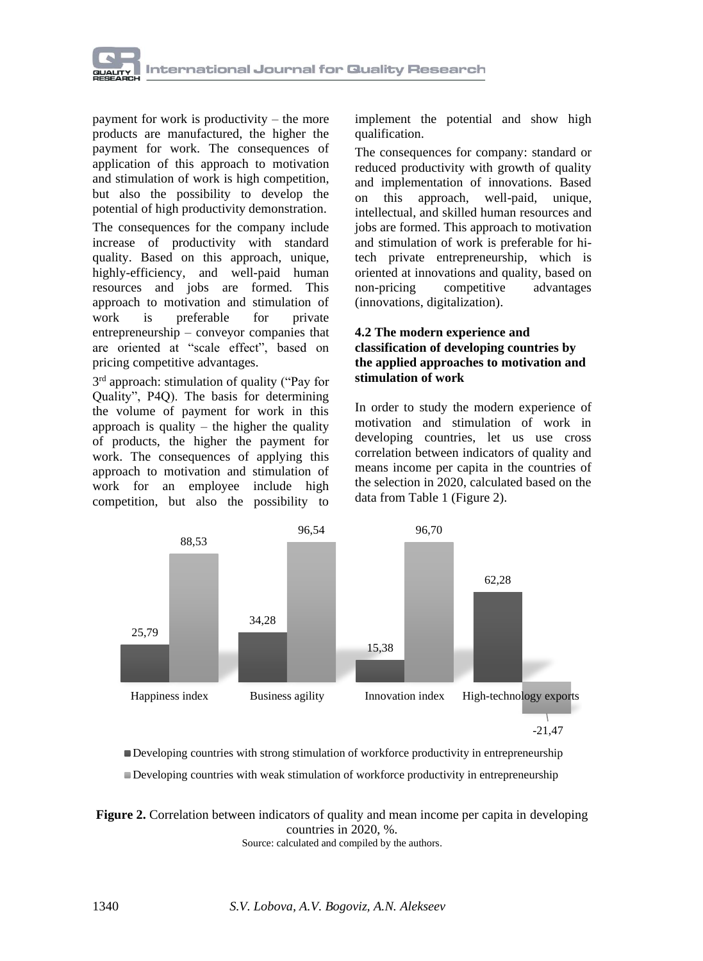

payment for work is productivity – the more products are manufactured, the higher the payment for work. The consequences of application of this approach to motivation and stimulation of work is high competition, but also the possibility to develop the potential of high productivity demonstration.

The consequences for the company include increase of productivity with standard quality. Based on this approach, unique, highly-efficiency, and well-paid human resources and jobs are formed. This approach to motivation and stimulation of work is preferable for private entrepreneurship – conveyor companies that are oriented at "scale effect", based on pricing competitive advantages.

3 rd approach: stimulation of quality ("Pay for Quality", P4Q). The basis for determining the volume of payment for work in this approach is quality  $-$  the higher the quality of products, the higher the payment for work. The consequences of applying this approach to motivation and stimulation of work for an employee include high competition, but also the possibility to

implement the potential and show high qualification.

The consequences for company: standard or reduced productivity with growth of quality and implementation of innovations. Based on this approach, well-paid, unique, intellectual, and skilled human resources and jobs are formed. This approach to motivation and stimulation of work is preferable for hitech private entrepreneurship, which is oriented at innovations and quality, based on non-pricing competitive advantages (innovations, digitalization).

#### **4.2 The modern experience and classification of developing countries by the applied approaches to motivation and stimulation of work**

In order to study the modern experience of motivation and stimulation of work in developing countries, let us use cross correlation between indicators of quality and means income per capita in the countries of the selection in 2020, calculated based on the data from Table 1 (Figure 2).



Developing countries with strong stimulation of workforce productivity in entrepreneurship Developing countries with weak stimulation of workforce productivity in entrepreneurship

**Figure 2.** Correlation between indicators of quality and mean income per capita in developing countries in 2020, %. Source: calculated and compiled by the authors.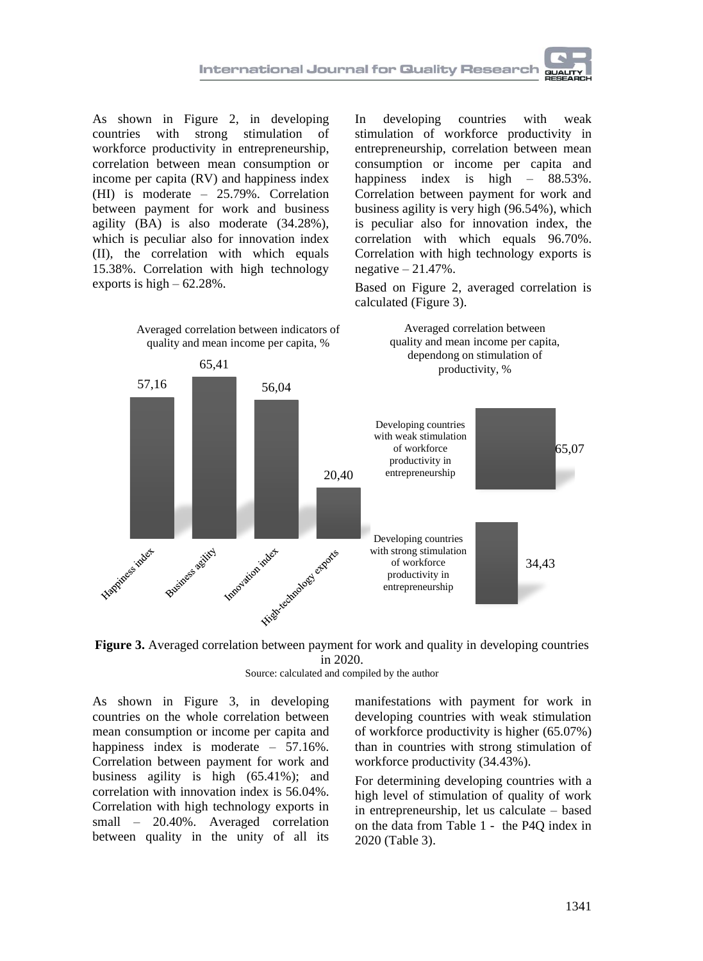

As shown in Figure 2, in developing countries with strong stimulation of workforce productivity in entrepreneurship, correlation between mean consumption or income per capita (RV) and happiness index (HI) is moderate – 25.79%. Correlation between payment for work and business agility (BA) is also moderate (34.28%), which is peculiar also for innovation index (II), the correlation with which equals 15.38%. Correlation with high technology exports is high  $-62.28\%$ .

In developing countries with weak stimulation of workforce productivity in entrepreneurship, correlation between mean consumption or income per capita and happiness index is high –  $88.53\%$ . Correlation between payment for work and business agility is very high (96.54%), which is peculiar also for innovation index, the correlation with which equals 96.70%. Correlation with high technology exports is negative  $-21.47\%$ .

Based on Figure 2, averaged correlation is calculated (Figure 3).

Averaged correlation between





Source: calculated and compiled by the author

As shown in Figure 3, in developing countries on the whole correlation between mean consumption or income per capita and happiness index is moderate – 57.16%. Correlation between payment for work and business agility is high (65.41%); and correlation with innovation index is 56.04%. Correlation with high technology exports in small – 20.40%. Averaged correlation between quality in the unity of all its manifestations with payment for work in developing countries with weak stimulation of workforce productivity is higher (65.07%) than in countries with strong stimulation of workforce productivity (34.43%).

For determining developing countries with a high level of stimulation of quality of work in entrepreneurship, let us calculate – based on the data from Table 1 - the P4Q index in 2020 (Table 3).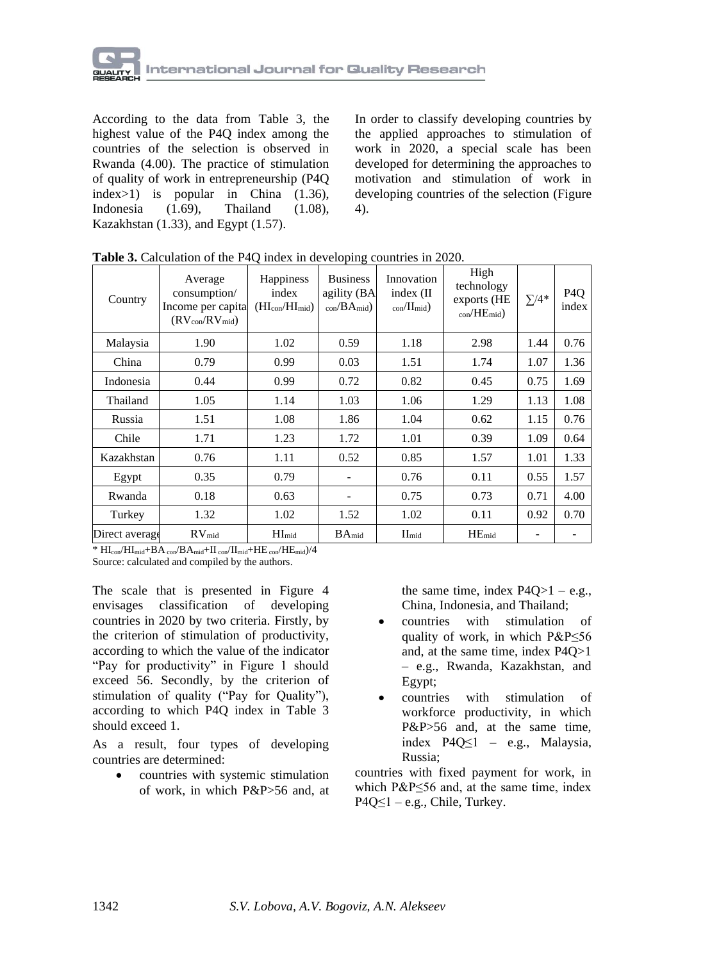

According to the data from Table 3, the highest value of the P4Q index among the countries of the selection is observed in Rwanda (4.00). The practice of stimulation of quality of work in entrepreneurship (P4Q index>1) is popular in China (1.36), Indonesia (1.69), Thailand (1.08), Kazakhstan (1.33), and Egypt (1.57).

In order to classify developing countries by the applied approaches to stimulation of work in 2020, a special scale has been developed for determining the approaches to motivation and stimulation of work in developing countries of the selection (Figure 4).

| Country        | Average<br>consumption/<br>Income per capital<br>$(RV_{con}/RV_{mid})$ | Happiness<br>index<br>$(HI_{con}/HI_{mid})$ | <b>Business</b><br>agility (BA<br>$_{\rm con}/\rm{BA}_{\rm mid}$ | Innovation<br>index (II<br>$_{\rm con}/\rm H_{\rm mid}$ ) | High<br>technology<br>exports (HE<br>$_{\rm con}/\rm HE_{\rm mid}$ ) | $\Sigma/4^*$ | P <sub>4</sub> O<br>index |
|----------------|------------------------------------------------------------------------|---------------------------------------------|------------------------------------------------------------------|-----------------------------------------------------------|----------------------------------------------------------------------|--------------|---------------------------|
| Malaysia       | 1.90                                                                   | 1.02                                        | 0.59                                                             | 1.18                                                      | 2.98                                                                 | 1.44         | 0.76                      |
| China          | 0.79                                                                   | 0.99                                        | 0.03                                                             | 1.51                                                      | 1.74                                                                 | 1.07         | 1.36                      |
| Indonesia      | 0.44                                                                   | 0.99                                        | 0.72                                                             | 0.82                                                      | 0.45                                                                 | 0.75         | 1.69                      |
| Thailand       | 1.05                                                                   | 1.14                                        | 1.03                                                             | 1.06                                                      | 1.29                                                                 | 1.13         | 1.08                      |
| Russia         | 1.51                                                                   | 1.08                                        | 1.86                                                             | 1.04                                                      | 0.62                                                                 | 1.15         | 0.76                      |
| Chile          | 1.71                                                                   | 1.23                                        | 1.72                                                             | 1.01                                                      | 0.39                                                                 | 1.09         | 0.64                      |
| Kazakhstan     | 0.76                                                                   | 1.11                                        | 0.52                                                             | 0.85                                                      | 1.57                                                                 | 1.01         | 1.33                      |
| Egypt          | 0.35                                                                   | 0.79                                        | $\overline{\phantom{a}}$                                         | 0.76                                                      | 0.11                                                                 | 0.55         | 1.57                      |
| Rwanda         | 0.18                                                                   | 0.63                                        | $\overline{\phantom{a}}$                                         | 0.75                                                      | 0.73                                                                 | 0.71         | 4.00                      |
| Turkey         | 1.32                                                                   | 1.02                                        | 1.52                                                             | 1.02                                                      | 0.11                                                                 | 0.92         | 0.70                      |
| Direct average | RV <sub>mid</sub>                                                      | HI <sub>mid</sub>                           | $BA_{mid}$                                                       | $II_{mid}$                                                | $HE_{mid}$                                                           |              |                           |

**Table 3.** Calculation of the P4Q index in developing countries in 2020.

\*  $HI_{con}/HI_{mid}+BA_{con}/BA_{mid}+II_{con}/II_{mid}+HE_{con}/HE_{mid})/4$ Source: calculated and compiled by the authors.

The scale that is presented in Figure 4 envisages classification of developing countries in 2020 by two criteria. Firstly, by the criterion of stimulation of productivity, according to which the value of the indicator "Pay for productivity" in Figure 1 should exceed 56. Secondly, by the criterion of stimulation of quality ("Pay for Quality"), according to which P4Q index in Table 3 should exceed 1.

As a result, four types of developing countries are determined:

> • countries with systemic stimulation of work, in which P&P>56 and, at

the same time, index  $P4Q>1 - e.g.,$ China, Indonesia, and Thailand;

- countries with stimulation of quality of work, in which P&P≤56 and, at the same time, index P4Q>1 – e.g., Rwanda, Kazakhstan, and Egypt;
- countries with stimulation of workforce productivity, in which P&P>56 and, at the same time, index P4Q≤1 – e.g., Malaysia, Russia;

countries with fixed payment for work, in which P&P≤56 and, at the same time, index  $P4Q \le 1 - e.g.,$  Chile, Turkey.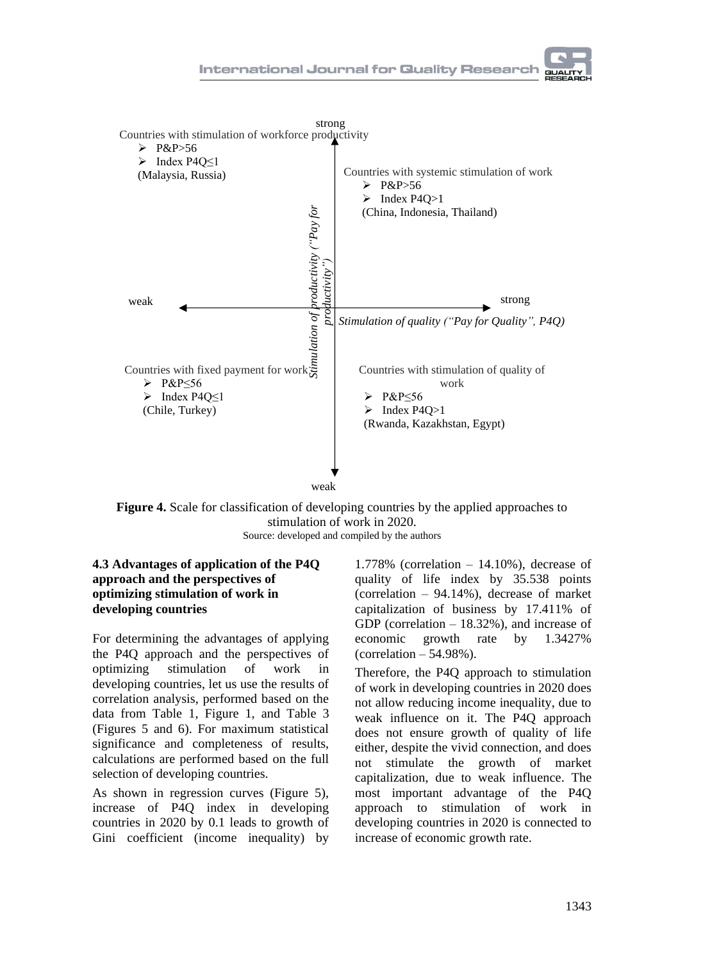

**Figure 4.** Scale for classification of developing countries by the applied approaches to stimulation of work in 2020. Source: developed and compiled by the authors

#### **4.3 Advantages of application of the P4Q approach and the perspectives of optimizing stimulation of work in developing countries**

For determining the advantages of applying the P4Q approach and the perspectives of optimizing stimulation of work in developing countries, let us use the results of correlation analysis, performed based on the data from Table 1, Figure 1, and Table 3 (Figures 5 and 6). For maximum statistical significance and completeness of results, calculations are performed based on the full selection of developing countries.

As shown in regression curves (Figure 5), increase of P4Q index in developing countries in 2020 by 0.1 leads to growth of Gini coefficient (income inequality) by

1.778% (correlation  $-14.10%$ ), decrease of quality of life index by 35.538 points (correlation – 94.14%), decrease of market capitalization of business by 17.411% of GDP (correlation – 18.32%), and increase of economic growth rate by 1.3427% (correlation  $-54.98\%$ ).

Therefore, the P4Q approach to stimulation of work in developing countries in 2020 does not allow reducing income inequality, due to weak influence on it. The P4Q approach does not ensure growth of quality of life either, despite the vivid connection, and does not stimulate the growth of market capitalization, due to weak influence. The most important advantage of the P4Q approach to stimulation of work in developing countries in 2020 is connected to increase of economic growth rate.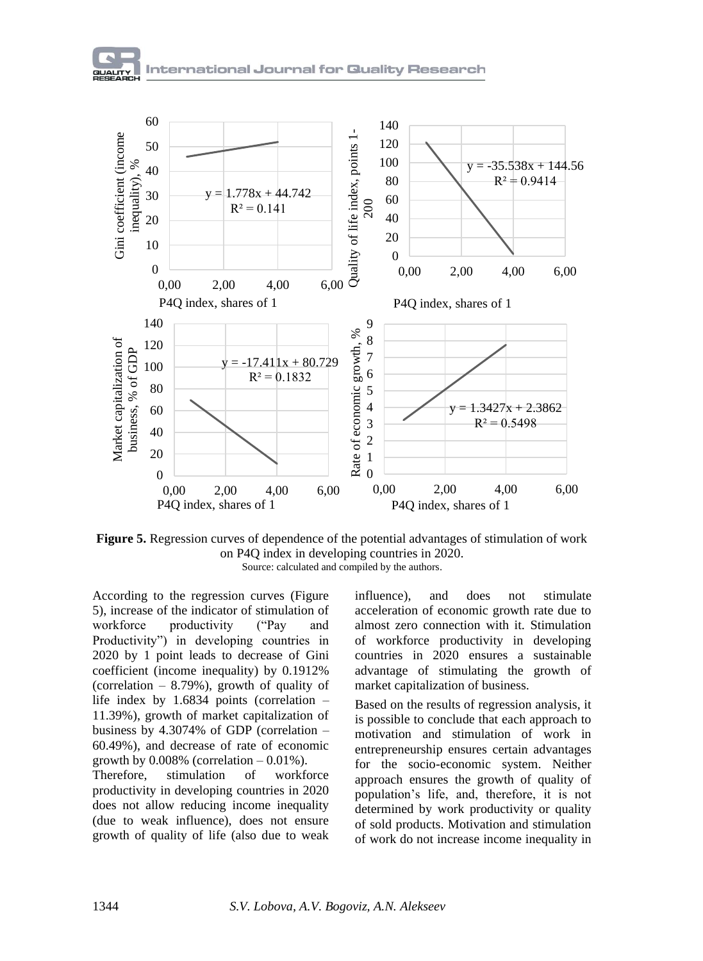

**Figure 5.** Regression curves of dependence of the potential advantages of stimulation of work on P4Q index in developing countries in 2020. Source: calculated and compiled by the authors.

According to the regression curves (Figure 5), increase of the indicator of stimulation of workforce productivity ("Pay and Productivity") in developing countries in 2020 by 1 point leads to decrease of Gini coefficient (income inequality) by 0.1912% (correlation  $-8.79\%$ ), growth of quality of life index by 1.6834 points (correlation – 11.39%), growth of market capitalization of business by 4.3074% of GDP (correlation – 60.49%), and decrease of rate of economic growth by  $0.008\%$  (correlation  $-0.01\%$ ).

Therefore, stimulation of workforce productivity in developing countries in 2020 does not allow reducing income inequality (due to weak influence), does not ensure growth of quality of life (also due to weak

influence), and does not stimulate acceleration of economic growth rate due to almost zero connection with it. Stimulation of workforce productivity in developing countries in 2020 ensures a sustainable advantage of stimulating the growth of market capitalization of business.

Based on the results of regression analysis, it is possible to conclude that each approach to motivation and stimulation of work in entrepreneurship ensures certain advantages for the socio-economic system. Neither approach ensures the growth of quality of population's life, and, therefore, it is not determined by work productivity or quality of sold products. Motivation and stimulation of work do not increase income inequality in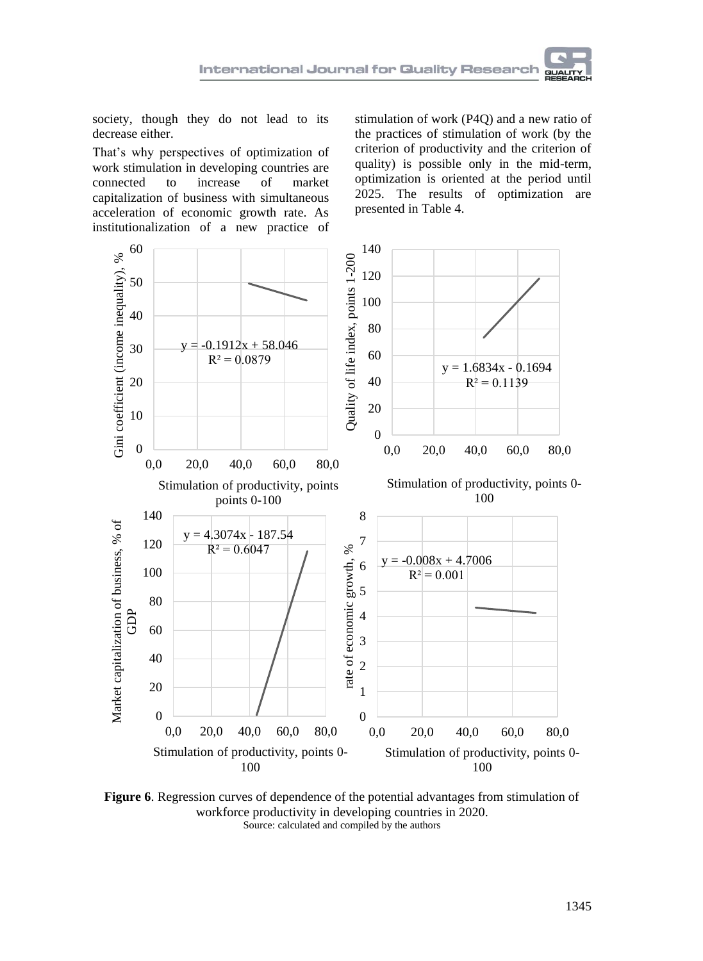society, though they do not lead to its decrease either.

That's why perspectives of optimization of work stimulation in developing countries are connected to increase of market capitalization of business with simultaneous acceleration of economic growth rate. As institutionalization of a new practice of

stimulation of work (P4Q) and a new ratio of the practices of stimulation of work (by the criterion of productivity and the criterion of quality) is possible only in the mid-term, optimization is oriented at the period until 2025. The results of optimization are presented in Table 4.



**Figure 6**. Regression curves of dependence of the potential advantages from stimulation of workforce productivity in developing countries in 2020. Source: calculated and compiled by the authors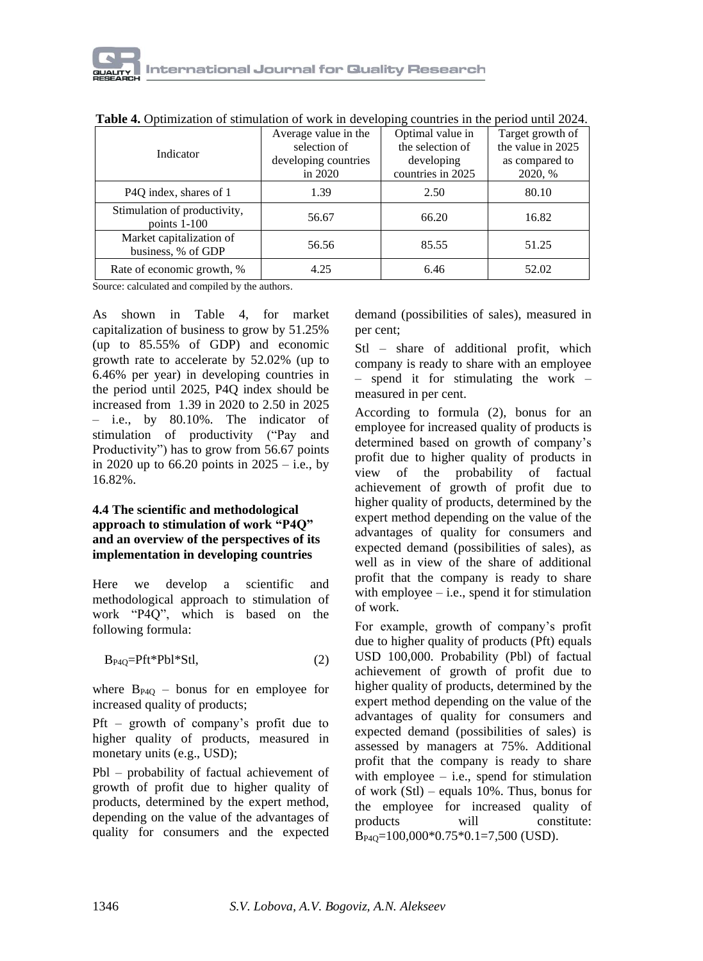| <b>THOIC</b> TO OPERATION OF SUMMARION OF WORK IN GOVOLOPING COMMERCE IN THE POLITICS IN THE 2021. |                      |                   |                   |  |  |  |
|----------------------------------------------------------------------------------------------------|----------------------|-------------------|-------------------|--|--|--|
|                                                                                                    | Average value in the | Optimal value in  | Target growth of  |  |  |  |
| Indicator                                                                                          | selection of         | the selection of  | the value in 2025 |  |  |  |
|                                                                                                    | developing countries | developing        | as compared to    |  |  |  |
|                                                                                                    | in 2020              | countries in 2025 | 2020, %           |  |  |  |
| P4Q index, shares of 1                                                                             | 1.39                 | 2.50              | 80.10             |  |  |  |
| Stimulation of productivity,<br>points $1-100$                                                     | 56.67                | 66.20             | 16.82             |  |  |  |
| Market capitalization of<br>business, % of GDP                                                     | 56.56                | 85.55             | 51.25             |  |  |  |
| Rate of economic growth, %                                                                         | 4.25                 | 6.46              | 52.02             |  |  |  |

**Table 4.** Optimization of stimulation of work in developing countries in the period until 2024.

Source: calculated and compiled by the authors.

As shown in Table 4, for market capitalization of business to grow by 51.25% (up to 85.55% of GDP) and economic growth rate to accelerate by 52.02% (up to 6.46% per year) in developing countries in the period until 2025, P4Q index should be increased from 1.39 in 2020 to 2.50 in 2025 – i.e., by 80.10%. The indicator of stimulation of productivity ("Pay and Productivity") has to grow from 56.67 points in 2020 up to 66.20 points in  $2025 - i.e.,$  by 16.82%.

#### **4.4 The scientific and methodological approach to stimulation of work "P4Q" and an overview of the perspectives of its implementation in developing countries**

Here we develop a scientific and methodological approach to stimulation of work "P4Q", which is based on the following formula:

$$
B_{P4Q} = Pft*Pbl*Stl,
$$
 (2)

where  $B_{P4O}$  – bonus for en employee for increased quality of products;

Pft – growth of company's profit due to higher quality of products, measured in monetary units (e.g., USD);

Pbl – probability of factual achievement of growth of profit due to higher quality of products, determined by the expert method, depending on the value of the advantages of quality for consumers and the expected demand (possibilities of sales), measured in per cent;

Stl – share of additional profit, which company is ready to share with an employee – spend it for stimulating the work – measured in per cent.

According to formula (2), bonus for an employee for increased quality of products is determined based on growth of company's profit due to higher quality of products in view of the probability of factual achievement of growth of profit due to higher quality of products, determined by the expert method depending on the value of the advantages of quality for consumers and expected demand (possibilities of sales), as well as in view of the share of additional profit that the company is ready to share with employee  $-$  i.e., spend it for stimulation of work.

For example, growth of company's profit due to higher quality of products (Pft) equals USD 100,000. Probability (Pbl) of factual achievement of growth of profit due to higher quality of products, determined by the expert method depending on the value of the advantages of quality for consumers and expected demand (possibilities of sales) is assessed by managers at 75%. Additional profit that the company is ready to share with employee  $-$  i.e., spend for stimulation of work  $(Stl)$  – equals 10%. Thus, bonus for the employee for increased quality of products will constitute: BP4Q=100,000\*0.75\*0.1=7,500 (USD).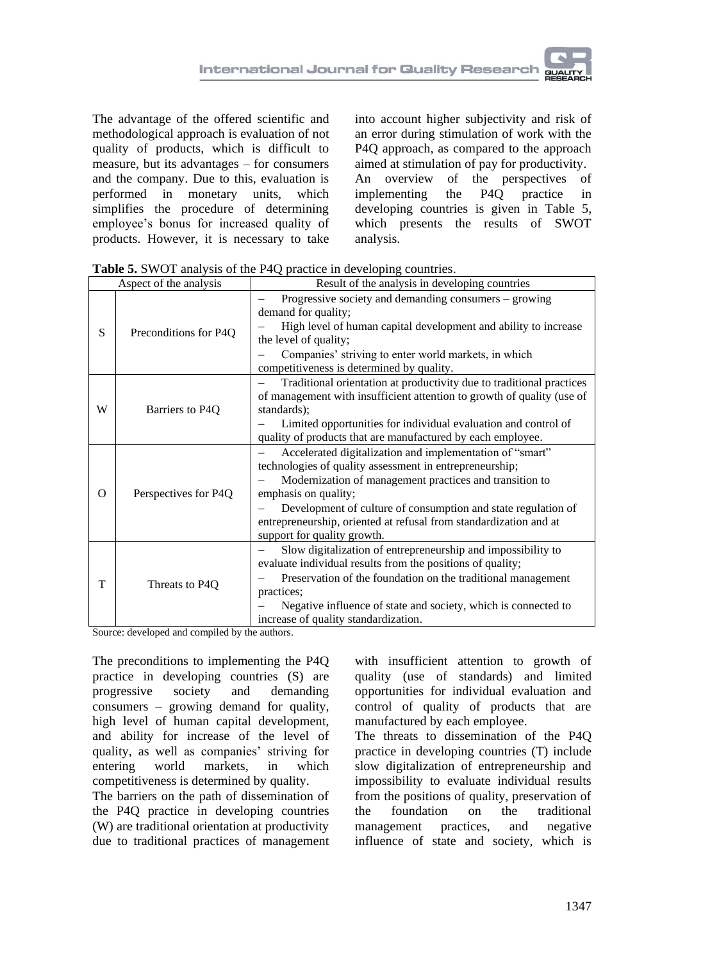The advantage of the offered scientific and methodological approach is evaluation of not quality of products, which is difficult to measure, but its advantages – for consumers and the company. Due to this, evaluation is performed in monetary units, which simplifies the procedure of determining employee's bonus for increased quality of products. However, it is necessary to take into account higher subjectivity and risk of an error during stimulation of work with the P4Q approach, as compared to the approach aimed at stimulation of pay for productivity. An overview of the perspectives of implementing the P4Q practice in developing countries is given in Table 5, which presents the results of SWOT analysis.

| Aspect of the analysis |                       | Result of the analysis in developing countries                                                                                                                                                                                                                                                                                                                              |
|------------------------|-----------------------|-----------------------------------------------------------------------------------------------------------------------------------------------------------------------------------------------------------------------------------------------------------------------------------------------------------------------------------------------------------------------------|
| S                      | Preconditions for P4Q | Progressive society and demanding consumers – growing<br>demand for quality;<br>High level of human capital development and ability to increase<br>the level of quality;<br>Companies' striving to enter world markets, in which<br>competitiveness is determined by quality.                                                                                               |
| W                      | Barriers to P4Q       | Traditional orientation at productivity due to traditional practices<br>of management with insufficient attention to growth of quality (use of<br>standards);<br>Limited opportunities for individual evaluation and control of<br>quality of products that are manufactured by each employee.                                                                              |
| $\Omega$               | Perspectives for P4Q  | Accelerated digitalization and implementation of "smart"<br>technologies of quality assessment in entrepreneurship;<br>Modernization of management practices and transition to<br>emphasis on quality;<br>Development of culture of consumption and state regulation of<br>entrepreneurship, oriented at refusal from standardization and at<br>support for quality growth. |
| T                      | Threats to P4Q        | Slow digitalization of entrepreneurship and impossibility to<br>evaluate individual results from the positions of quality;<br>Preservation of the foundation on the traditional management<br>practices;<br>Negative influence of state and society, which is connected to<br>increase of quality standardization.                                                          |

**Table 5.** SWOT analysis of the P4Q practice in developing countries.

Source: developed and compiled by the authors.

The preconditions to implementing the P4Q practice in developing countries (S) are progressive society and demanding consumers – growing demand for quality, high level of human capital development, and ability for increase of the level of quality, as well as companies' striving for entering world markets, in which competitiveness is determined by quality.

The barriers on the path of dissemination of the P4Q practice in developing countries (W) are traditional orientation at productivity due to traditional practices of management

with insufficient attention to growth of quality (use of standards) and limited opportunities for individual evaluation and control of quality of products that are manufactured by each employee.

The threats to dissemination of the P4Q practice in developing countries (T) include slow digitalization of entrepreneurship and impossibility to evaluate individual results from the positions of quality, preservation of the foundation on the traditional management practices, and negative influence of state and society, which is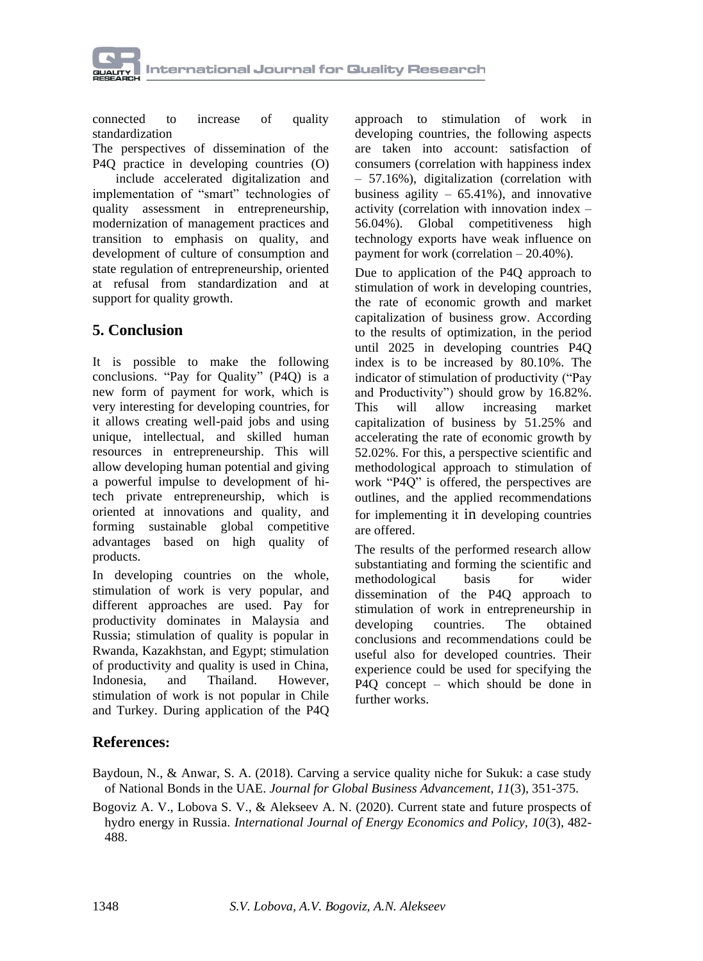

connected to increase of quality standardization

The perspectives of dissemination of the P4Q practice in developing countries (O)

include accelerated digitalization and implementation of "smart" technologies of quality assessment in entrepreneurship, modernization of management practices and transition to emphasis on quality, and development of culture of consumption and state regulation of entrepreneurship, oriented at refusal from standardization and at support for quality growth.

## **5. Conclusion**

It is possible to make the following conclusions. "Pay for Quality" (P4Q) is a new form of payment for work, which is very interesting for developing countries, for it allows creating well-paid jobs and using unique, intellectual, and skilled human resources in entrepreneurship. This will allow developing human potential and giving a powerful impulse to development of hitech private entrepreneurship, which is oriented at innovations and quality, and forming sustainable global competitive advantages based on high quality of products.

In developing countries on the whole, stimulation of work is very popular, and different approaches are used. Pay for productivity dominates in Malaysia and Russia; stimulation of quality is popular in Rwanda, Kazakhstan, and Egypt; stimulation of productivity and quality is used in China, Indonesia, and Thailand. However, stimulation of work is not popular in Chile and Turkey. During application of the P4Q

approach to stimulation of work in developing countries, the following aspects are taken into account: satisfaction of consumers (correlation with happiness index – 57.16%), digitalization (correlation with business agility  $-65.41\%$ ), and innovative activity (correlation with innovation index – 56.04%). Global competitiveness high technology exports have weak influence on payment for work (correlation – 20.40%).

Due to application of the P4Q approach to stimulation of work in developing countries, the rate of economic growth and market capitalization of business grow. According to the results of optimization, in the period until 2025 in developing countries P4Q index is to be increased by 80.10%. The indicator of stimulation of productivity ("Pay and Productivity") should grow by 16.82%. This will allow increasing market capitalization of business by 51.25% and accelerating the rate of economic growth by 52.02%. For this, a perspective scientific and methodological approach to stimulation of work "P4Q" is offered, the perspectives are outlines, and the applied recommendations for implementing it in developing countries are offered.

The results of the performed research allow substantiating and forming the scientific and methodological basis for wider dissemination of the P4Q approach to stimulation of work in entrepreneurship in developing countries. The obtained conclusions and recommendations could be useful also for developed countries. Their experience could be used for specifying the P4Q concept – which should be done in further works.

### **References:**

Baydoun, N., & Anwar, S. A. (2018). Carving a service quality niche for Sukuk: a case study of National Bonds in the UAE. *Journal for Global Business Advancement, 11*(3), 351-375.

Bogoviz A. V., Lobova S. V., & Alekseev A. N. (2020). Current state and future prospects of hydro energy in Russia. *International Journal of Energy Economics and Policy, 10*(3), 482- 488.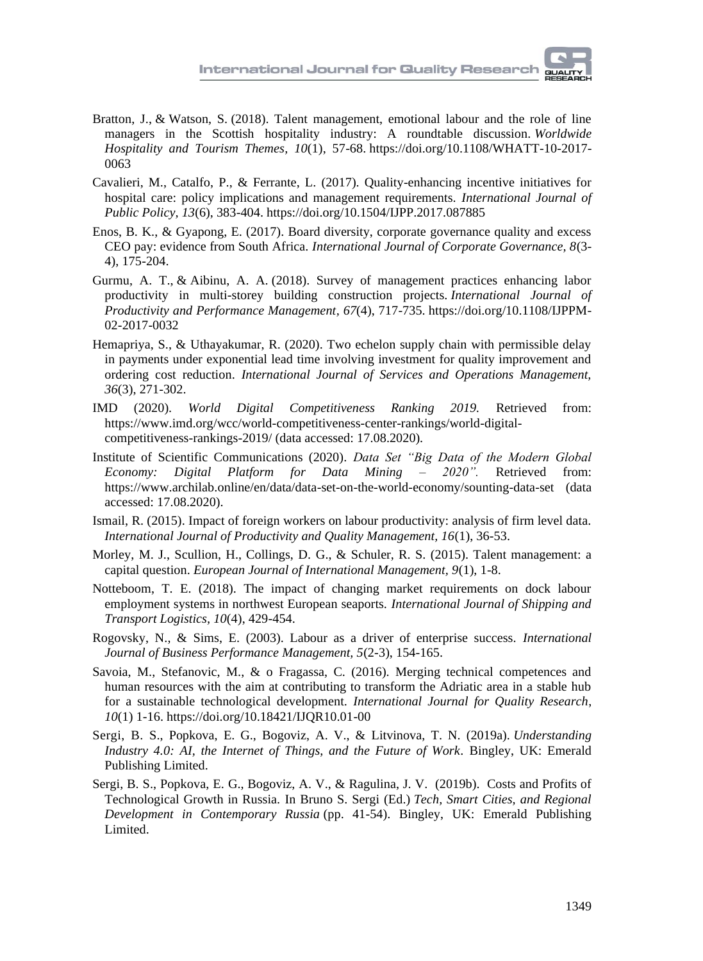- [Bratton, J.,](https://www.emerald.com/insight/search?q=John%20Bratton) & [Watson, S.](https://www.emerald.com/insight/search?q=Sandra%20Watson) (2018). Talent management, emotional labour and the role of line managers in the Scottish hospitality industry: A roundtable discussion. *[Worldwide](https://www.emerald.com/insight/publication/issn/1755-4217)  [Hospitality and Tourism Themes,](https://www.emerald.com/insight/publication/issn/1755-4217) 10*(1), 57-68. [https://doi.org/10.1108/WHATT-10-2017-](https://doi.org/10.1108/WHATT-10-2017-0063) [0063](https://doi.org/10.1108/WHATT-10-2017-0063)
- Cavalieri, M., Catalfo, P., & Ferrante, L. (2017). Quality-enhancing incentive initiatives for hospital care: policy implications and management requirements. *International Journal of Public Policy, 13*(6), 383-404. https://doi.org/10.1504/IJPP.2017.087885
- Enos, B. K., & Gyapong, E. (2017). Board diversity, corporate governance quality and excess CEO pay: evidence from South Africa. *International Journal of Corporate Governance, 8*(3- 4), 175-204.
- [Gurmu, A.](https://www.emerald.com/insight/search?q=Argaw%20Tarekegn%20Gurmu) T., & [Aibinu, A.](https://www.emerald.com/insight/search?q=Ajibade%20Ayodeji%20Aibinu) A. (2018). Survey of management practices enhancing labor productivity in multi-storey building construction projects. *[International Journal of](https://www.emerald.com/insight/publication/issn/1741-0401)  [Productivity and Performance Management,](https://www.emerald.com/insight/publication/issn/1741-0401) 67*(4), 717-735. [https://doi.org/10.1108/IJPPM-](https://doi.org/10.1108/IJPPM-02-2017-0032)[02-2017-0032](https://doi.org/10.1108/IJPPM-02-2017-0032)
- Hemapriya, S., & Uthayakumar, R. (2020). Two echelon supply chain with permissible delay in payments under exponential lead time involving investment for quality improvement and ordering cost reduction. *International Journal of Services and Operations Management, 36*(3), 271-302.
- IMD (2020). *World Digital Competitiveness Ranking 2019.* [Retrieved from:](file:///D:/Рабочие%20документы/Работа/2020/+++Сводный%20список%20статей%20для%20Качества%20(29.6.20)/Список%20на%202020-2021%20(АВ)%20(3.7.20)/Статья%201%20по%20Гранту/Retrieved%20from:) [https://www.imd.org/wcc/world-competitiveness-center-rankings/world-digital](https://www.imd.org/wcc/world-competitiveness-center-rankings/world-digital-competitiveness-rankings-2019/)[competitiveness-rankings-2019/](https://www.imd.org/wcc/world-competitiveness-center-rankings/world-digital-competitiveness-rankings-2019/) (data accessed: 17.08.2020).
- Institute of Scientific Communications (2020). *Data Set "Big Data of the Modern Global Economy: Digital Platform for Data Mining – 2020".* Retrieved from: <https://www.archilab.online/en/data/data-set-on-the-world-economy/sounting-data-set> (data accessed: 17.08.2020).
- Ismail, R. (2015). Impact of foreign workers on labour productivity: analysis of firm level data. *International Journal of Productivity and Quality Management, 16*(1), 36-53.
- Morley, M. J., Scullion, H., Collings, D. G., & Schuler, R. S. (2015). Talent management: a capital question. *European Journal of International Management, 9*(1), 1-8.
- Notteboom, T. E. (2018). The impact of changing market requirements on dock labour employment systems in northwest European seaports. *International Journal of Shipping and Transport Logistics, 10*(4), 429-454.
- Rogovsky, N., & Sims, E. (2003). Labour as a driver of enterprise success. *International Journal of Business Performance Management, 5*(2-3), 154-165.
- Savoia, M., Stefanovic, M., & o Fragassa, C. (2016). Merging technical competences and human resources with the aim at contributing to transform the Adriatic area in a stable hub for a sustainable technological development. *International Journal for Quality Research*, *10*(1) 1-16[. https://doi.org/10.18421/IJQR10.01-00](https://doi.org/10.18421/IJQR10.01-00)
- Sergi, B. S., Popkova, E. G., Bogoviz, A. V., & Litvinova, T. N. (2019a). *Understanding Industry 4.0: AI, the Internet of Things, and the Future of Work.* Bingley, UK: Emerald Publishing Limited.
- Sergi, B. S., Popkova, E. G., Bogoviz, A. V., & Ragulina, J. V. (2019b). Costs and Profits of Technological Growth in Russia. In Bruno S. Sergi (Ed.) *Tech, Smart Cities, and Regional Development in Contemporary Russia* (pp. 41-54). Bingley, UK: Emerald Publishing Limited.